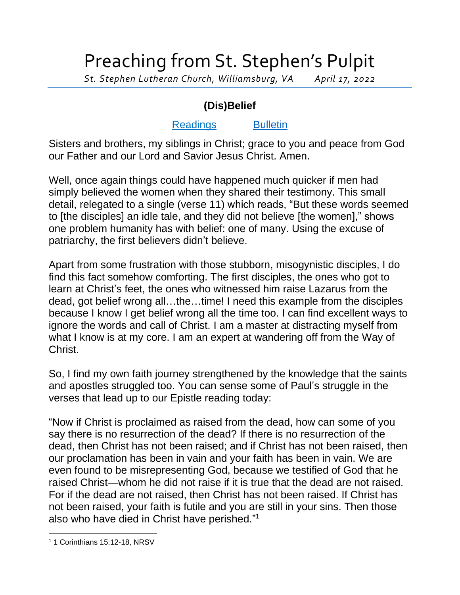## Preaching from St. Stephen's Pulpit

*St. Stephen Lutheran Church, Williamsburg, VA April 17, 2022*

## **(Dis)Belief**

## [Readings](https://lectionary.library.vanderbilt.edu/texts.php?id=132) [Bulletin](http://www.saintstephenlutheran.net/sunday-bulletins/)

Sisters and brothers, my siblings in Christ; grace to you and peace from God our Father and our Lord and Savior Jesus Christ. Amen.

Well, once again things could have happened much quicker if men had simply believed the women when they shared their testimony. This small detail, relegated to a single (verse 11) which reads, "But these words seemed to [the disciples] an idle tale, and they did not believe [the women]," shows one problem humanity has with belief: one of many. Using the excuse of patriarchy, the first believers didn't believe.

Apart from some frustration with those stubborn, misogynistic disciples, I do find this fact somehow comforting. The first disciples, the ones who got to learn at Christ's feet, the ones who witnessed him raise Lazarus from the dead, got belief wrong all…the…time! I need this example from the disciples because I know I get belief wrong all the time too. I can find excellent ways to ignore the words and call of Christ. I am a master at distracting myself from what I know is at my core. I am an expert at wandering off from the Way of Christ.

So, I find my own faith journey strengthened by the knowledge that the saints and apostles struggled too. You can sense some of Paul's struggle in the verses that lead up to our Epistle reading today:

"Now if Christ is proclaimed as raised from the dead, how can some of you say there is no resurrection of the dead? If there is no resurrection of the dead, then Christ has not been raised; and if Christ has not been raised, then our proclamation has been in vain and your faith has been in vain. We are even found to be misrepresenting God, because we testified of God that he raised Christ—whom he did not raise if it is true that the dead are not raised. For if the dead are not raised, then Christ has not been raised. If Christ has not been raised, your faith is futile and you are still in your sins. Then those also who have died in Christ have perished." 1

<sup>1</sup> 1 Corinthians 15:12-18, NRSV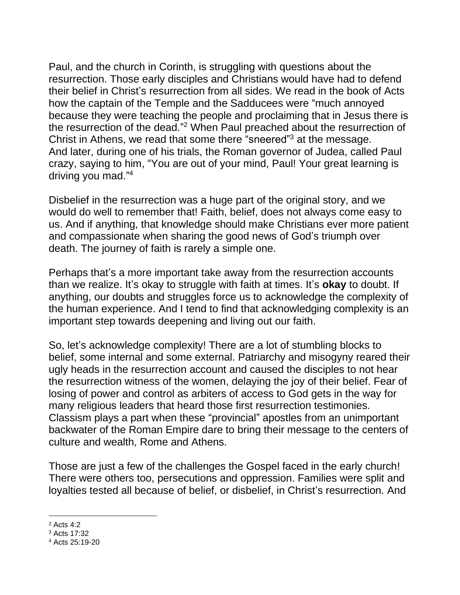Paul, and the church in Corinth, is struggling with questions about the resurrection. Those early disciples and Christians would have had to defend their belief in Christ's resurrection from all sides. We read in the book of Acts how the captain of the Temple and the Sadducees were "much annoyed because they were teaching the people and proclaiming that in Jesus there is the resurrection of the dead." <sup>2</sup> When Paul preached about the resurrection of Christ in Athens, we read that some there "sneered"<sup>3</sup> at the message. And later, during one of his trials, the Roman governor of Judea, called Paul crazy, saying to him, "You are out of your mind, Paul! Your great learning is driving you mad." 4

Disbelief in the resurrection was a huge part of the original story, and we would do well to remember that! Faith, belief, does not always come easy to us. And if anything, that knowledge should make Christians ever more patient and compassionate when sharing the good news of God's triumph over death. The journey of faith is rarely a simple one.

Perhaps that's a more important take away from the resurrection accounts than we realize. It's okay to struggle with faith at times. It's **okay** to doubt. If anything, our doubts and struggles force us to acknowledge the complexity of the human experience. And I tend to find that acknowledging complexity is an important step towards deepening and living out our faith.

So, let's acknowledge complexity! There are a lot of stumbling blocks to belief, some internal and some external. Patriarchy and misogyny reared their ugly heads in the resurrection account and caused the disciples to not hear the resurrection witness of the women, delaying the joy of their belief. Fear of losing of power and control as arbiters of access to God gets in the way for many religious leaders that heard those first resurrection testimonies. Classism plays a part when these "provincial" apostles from an unimportant backwater of the Roman Empire dare to bring their message to the centers of culture and wealth, Rome and Athens.

Those are just a few of the challenges the Gospel faced in the early church! There were others too, persecutions and oppression. Families were split and loyalties tested all because of belief, or disbelief, in Christ's resurrection. And

<sup>2</sup> Acts 4:2

<sup>3</sup> Acts 17:32

<sup>4</sup> Acts 25:19-20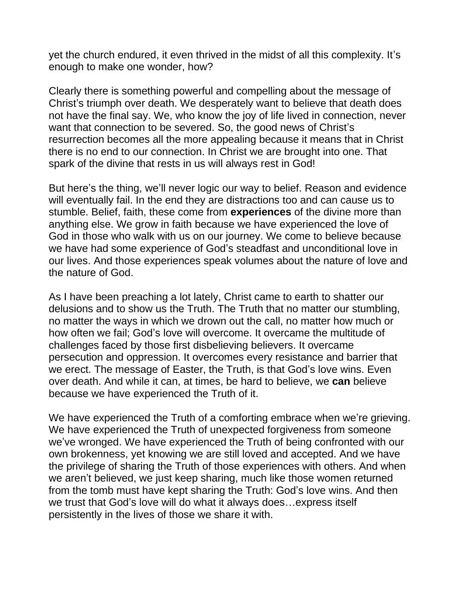yet the church endured, it even thrived in the midst of all this complexity. It's enough to make one wonder, how?

Clearly there is something powerful and compelling about the message of Christ's triumph over death. We desperately want to believe that death does not have the final say. We, who know the joy of life lived in connection, never want that connection to be severed. So, the good news of Christ's resurrection becomes all the more appealing because it means that in Christ there is no end to our connection. In Christ we are brought into one. That spark of the divine that rests in us will always rest in God!

But here's the thing, we'll never logic our way to belief. Reason and evidence will eventually fail. In the end they are distractions too and can cause us to stumble. Belief, faith, these come from **experiences** of the divine more than anything else. We grow in faith because we have experienced the love of God in those who walk with us on our journey. We come to believe because we have had some experience of God's steadfast and unconditional love in our lives. And those experiences speak volumes about the nature of love and the nature of God.

As I have been preaching a lot lately, Christ came to earth to shatter our delusions and to show us the Truth. The Truth that no matter our stumbling, no matter the ways in which we drown out the call, no matter how much or how often we fail; God's love will overcome. It overcame the multitude of challenges faced by those first disbelieving believers. It overcame persecution and oppression. It overcomes every resistance and barrier that we erect. The message of Easter, the Truth, is that God's love wins. Even over death. And while it can, at times, be hard to believe, we **can** believe because we have experienced the Truth of it.

We have experienced the Truth of a comforting embrace when we're grieving. We have experienced the Truth of unexpected forgiveness from someone we've wronged. We have experienced the Truth of being confronted with our own brokenness, yet knowing we are still loved and accepted. And we have the privilege of sharing the Truth of those experiences with others. And when we aren't believed, we just keep sharing, much like those women returned from the tomb must have kept sharing the Truth: God's love wins. And then we trust that God's love will do what it always does…express itself persistently in the lives of those we share it with.